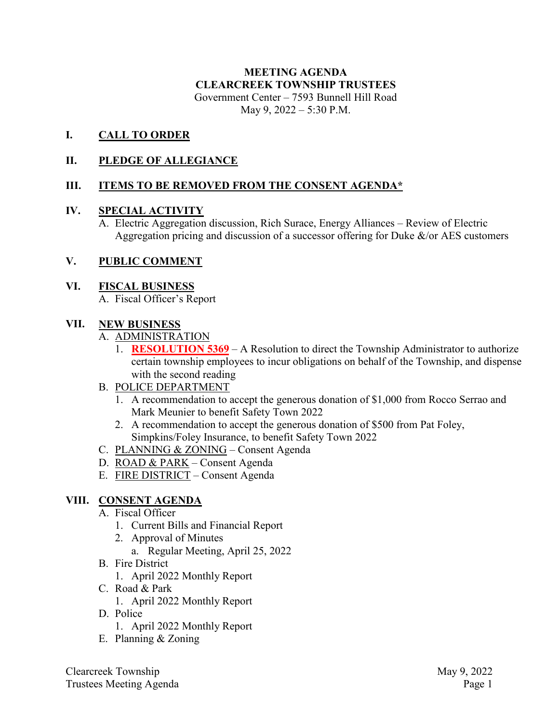# **MEETING AGENDA CLEARCREEK TOWNSHIP TRUSTEES** Government Center – 7593 Bunnell Hill Road

May 9, 2022 – 5:30 P.M.

### **I. CALL TO ORDER**

### **II. PLEDGE OF ALLEGIANCE**

### **III. ITEMS TO BE REMOVED FROM THE CONSENT AGENDA\***

#### **IV. SPECIAL ACTIVITY**

A. Electric Aggregation discussion, Rich Surace, Energy Alliances – Review of Electric Aggregation pricing and discussion of a successor offering for Duke  $\&$ /or AES customers

#### **V. PUBLIC COMMENT**

#### **VI. FISCAL BUSINESS**

A. Fiscal Officer's Report

#### **VII. NEW BUSINESS**

- A. ADMINISTRATION
	- 1. **RESOLUTION 5369** A Resolution to direct the Township Administrator to authorize certain township employees to incur obligations on behalf of the Township, and dispense with the second reading
- B. POLICE DEPARTMENT
	- 1. A recommendation to accept the generous donation of \$1,000 from Rocco Serrao and Mark Meunier to benefit Safety Town 2022
	- 2. A recommendation to accept the generous donation of \$500 from Pat Foley, Simpkins/Foley Insurance, to benefit Safety Town 2022
- C. PLANNING & ZONING Consent Agenda
- D. ROAD & PARK Consent Agenda
- E. FIRE DISTRICT Consent Agenda

#### **VIII. CONSENT AGENDA**

- A. Fiscal Officer
	- 1. Current Bills and Financial Report
	- 2. Approval of Minutes
		- a. Regular Meeting, April 25, 2022
- B. Fire District
	- 1. April 2022 Monthly Report
- C. Road & Park
	- 1. April 2022 Monthly Report
- D. Police
	- 1. April 2022 Monthly Report
- E. Planning & Zoning

Clearcreek Township May 9, 2022 Trustees Meeting Agenda Page 1